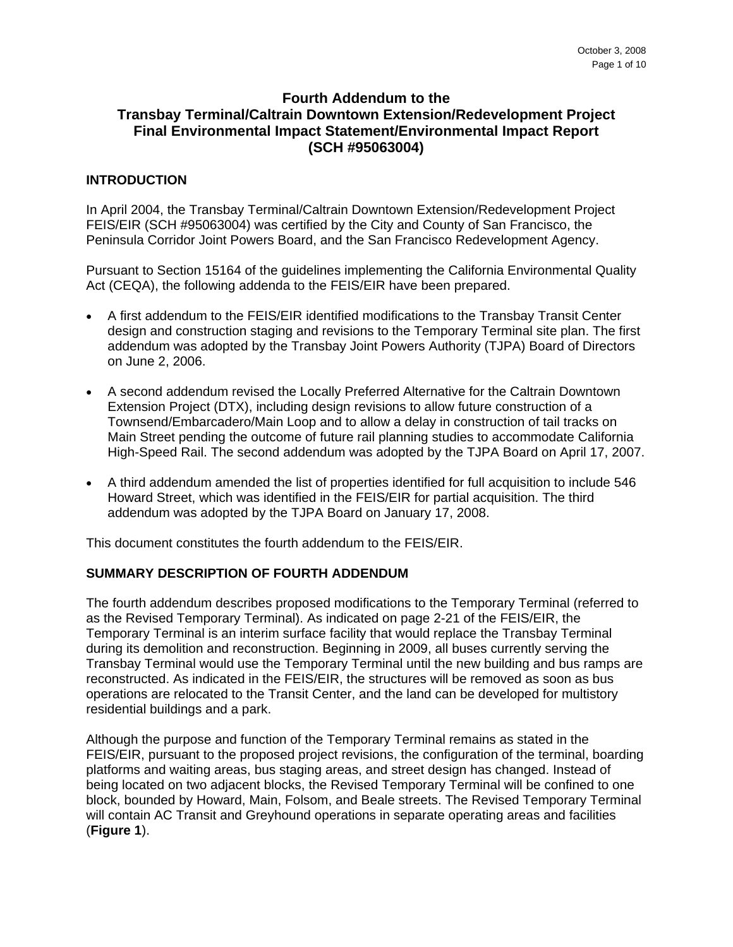# **Fourth Addendum to the Transbay Terminal/Caltrain Downtown Extension/Redevelopment Project Final Environmental Impact Statement/Environmental Impact Report (SCH #95063004)**

# **INTRODUCTION**

In April 2004, the Transbay Terminal/Caltrain Downtown Extension/Redevelopment Project FEIS/EIR (SCH #95063004) was certified by the City and County of San Francisco, the Peninsula Corridor Joint Powers Board, and the San Francisco Redevelopment Agency.

Pursuant to Section 15164 of the guidelines implementing the California Environmental Quality Act (CEQA), the following addenda to the FEIS/EIR have been prepared.

- A first addendum to the FEIS/EIR identified modifications to the Transbay Transit Center design and construction staging and revisions to the Temporary Terminal site plan. The first addendum was adopted by the Transbay Joint Powers Authority (TJPA) Board of Directors on June 2, 2006.
- A second addendum revised the Locally Preferred Alternative for the Caltrain Downtown Extension Project (DTX), including design revisions to allow future construction of a Townsend/Embarcadero/Main Loop and to allow a delay in construction of tail tracks on Main Street pending the outcome of future rail planning studies to accommodate California High-Speed Rail. The second addendum was adopted by the TJPA Board on April 17, 2007.
- A third addendum amended the list of properties identified for full acquisition to include 546 Howard Street, which was identified in the FEIS/EIR for partial acquisition. The third addendum was adopted by the TJPA Board on January 17, 2008.

This document constitutes the fourth addendum to the FEIS/EIR.

# **SUMMARY DESCRIPTION OF FOURTH ADDENDUM**

The fourth addendum describes proposed modifications to the Temporary Terminal (referred to as the Revised Temporary Terminal). As indicated on page 2-21 of the FEIS/EIR, the Temporary Terminal is an interim surface facility that would replace the Transbay Terminal during its demolition and reconstruction. Beginning in 2009, all buses currently serving the Transbay Terminal would use the Temporary Terminal until the new building and bus ramps are reconstructed. As indicated in the FEIS/EIR, the structures will be removed as soon as bus operations are relocated to the Transit Center, and the land can be developed for multistory residential buildings and a park.

Although the purpose and function of the Temporary Terminal remains as stated in the FEIS/EIR, pursuant to the proposed project revisions, the configuration of the terminal, boarding platforms and waiting areas, bus staging areas, and street design has changed. Instead of being located on two adjacent blocks, the Revised Temporary Terminal will be confined to one block, bounded by Howard, Main, Folsom, and Beale streets. The Revised Temporary Terminal will contain AC Transit and Greyhound operations in separate operating areas and facilities (**Figure 1**).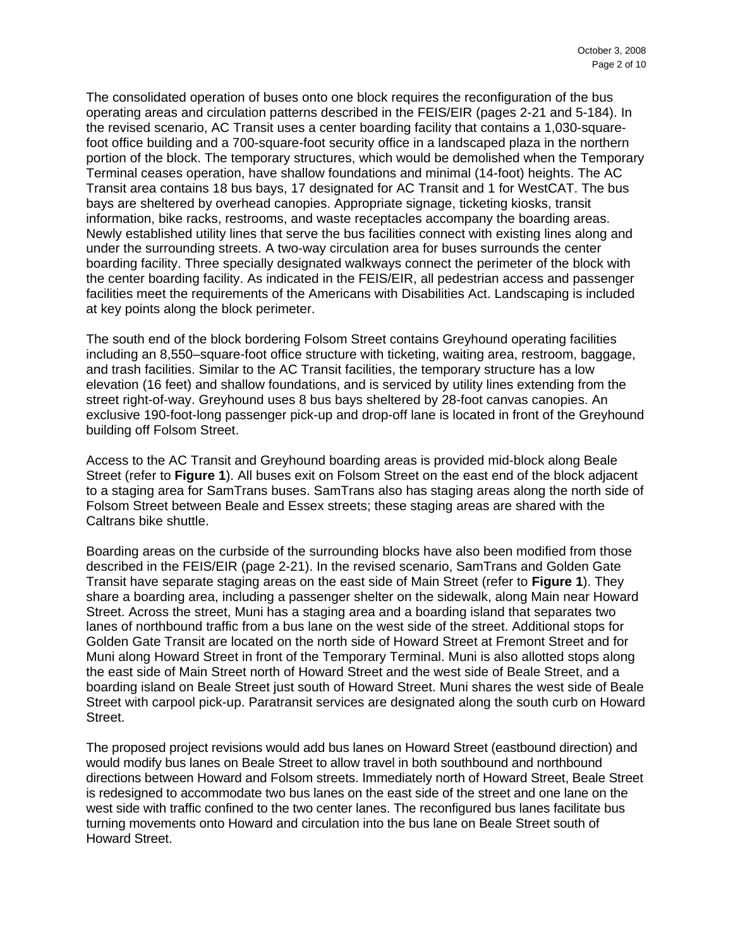The consolidated operation of buses onto one block requires the reconfiguration of the bus operating areas and circulation patterns described in the FEIS/EIR (pages 2-21 and 5-184). In the revised scenario, AC Transit uses a center boarding facility that contains a 1,030-squarefoot office building and a 700-square-foot security office in a landscaped plaza in the northern portion of the block. The temporary structures, which would be demolished when the Temporary Terminal ceases operation, have shallow foundations and minimal (14-foot) heights. The AC Transit area contains 18 bus bays, 17 designated for AC Transit and 1 for WestCAT. The bus bays are sheltered by overhead canopies. Appropriate signage, ticketing kiosks, transit information, bike racks, restrooms, and waste receptacles accompany the boarding areas. Newly established utility lines that serve the bus facilities connect with existing lines along and under the surrounding streets. A two-way circulation area for buses surrounds the center boarding facility. Three specially designated walkways connect the perimeter of the block with the center boarding facility. As indicated in the FEIS/EIR, all pedestrian access and passenger facilities meet the requirements of the Americans with Disabilities Act. Landscaping is included at key points along the block perimeter.

The south end of the block bordering Folsom Street contains Greyhound operating facilities including an 8,550–square-foot office structure with ticketing, waiting area, restroom, baggage, and trash facilities. Similar to the AC Transit facilities, the temporary structure has a low elevation (16 feet) and shallow foundations, and is serviced by utility lines extending from the street right-of-way. Greyhound uses 8 bus bays sheltered by 28-foot canvas canopies. An exclusive 190-foot-long passenger pick-up and drop-off lane is located in front of the Greyhound building off Folsom Street.

Access to the AC Transit and Greyhound boarding areas is provided mid-block along Beale Street (refer to **Figure 1**). All buses exit on Folsom Street on the east end of the block adjacent to a staging area for SamTrans buses. SamTrans also has staging areas along the north side of Folsom Street between Beale and Essex streets; these staging areas are shared with the Caltrans bike shuttle.

Boarding areas on the curbside of the surrounding blocks have also been modified from those described in the FEIS/EIR (page 2-21). In the revised scenario, SamTrans and Golden Gate Transit have separate staging areas on the east side of Main Street (refer to **Figure 1**). They share a boarding area, including a passenger shelter on the sidewalk, along Main near Howard Street. Across the street, Muni has a staging area and a boarding island that separates two lanes of northbound traffic from a bus lane on the west side of the street. Additional stops for Golden Gate Transit are located on the north side of Howard Street at Fremont Street and for Muni along Howard Street in front of the Temporary Terminal. Muni is also allotted stops along the east side of Main Street north of Howard Street and the west side of Beale Street, and a boarding island on Beale Street just south of Howard Street. Muni shares the west side of Beale Street with carpool pick-up. Paratransit services are designated along the south curb on Howard Street.

The proposed project revisions would add bus lanes on Howard Street (eastbound direction) and would modify bus lanes on Beale Street to allow travel in both southbound and northbound directions between Howard and Folsom streets. Immediately north of Howard Street, Beale Street is redesigned to accommodate two bus lanes on the east side of the street and one lane on the west side with traffic confined to the two center lanes. The reconfigured bus lanes facilitate bus turning movements onto Howard and circulation into the bus lane on Beale Street south of Howard Street.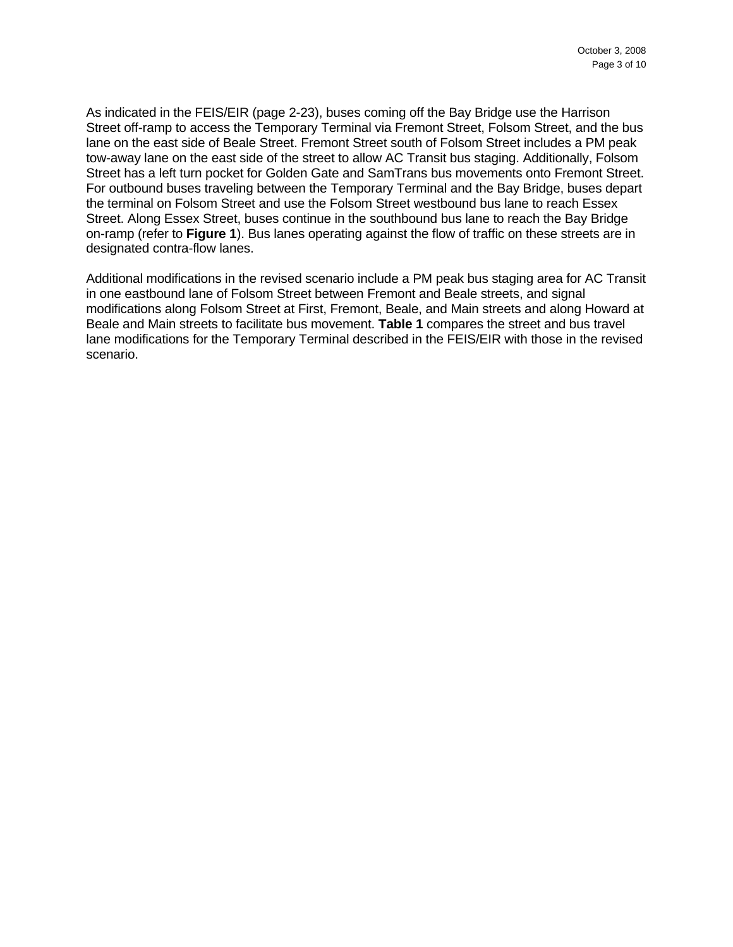As indicated in the FEIS/EIR (page 2-23), buses coming off the Bay Bridge use the Harrison Street off-ramp to access the Temporary Terminal via Fremont Street, Folsom Street, and the bus lane on the east side of Beale Street. Fremont Street south of Folsom Street includes a PM peak tow-away lane on the east side of the street to allow AC Transit bus staging. Additionally, Folsom Street has a left turn pocket for Golden Gate and SamTrans bus movements onto Fremont Street. For outbound buses traveling between the Temporary Terminal and the Bay Bridge, buses depart the terminal on Folsom Street and use the Folsom Street westbound bus lane to reach Essex Street. Along Essex Street, buses continue in the southbound bus lane to reach the Bay Bridge on-ramp (refer to **Figure 1**). Bus lanes operating against the flow of traffic on these streets are in designated contra-flow lanes.

Additional modifications in the revised scenario include a PM peak bus staging area for AC Transit in one eastbound lane of Folsom Street between Fremont and Beale streets, and signal modifications along Folsom Street at First, Fremont, Beale, and Main streets and along Howard at Beale and Main streets to facilitate bus movement. **Table 1** compares the street and bus travel lane modifications for the Temporary Terminal described in the FEIS/EIR with those in the revised scenario.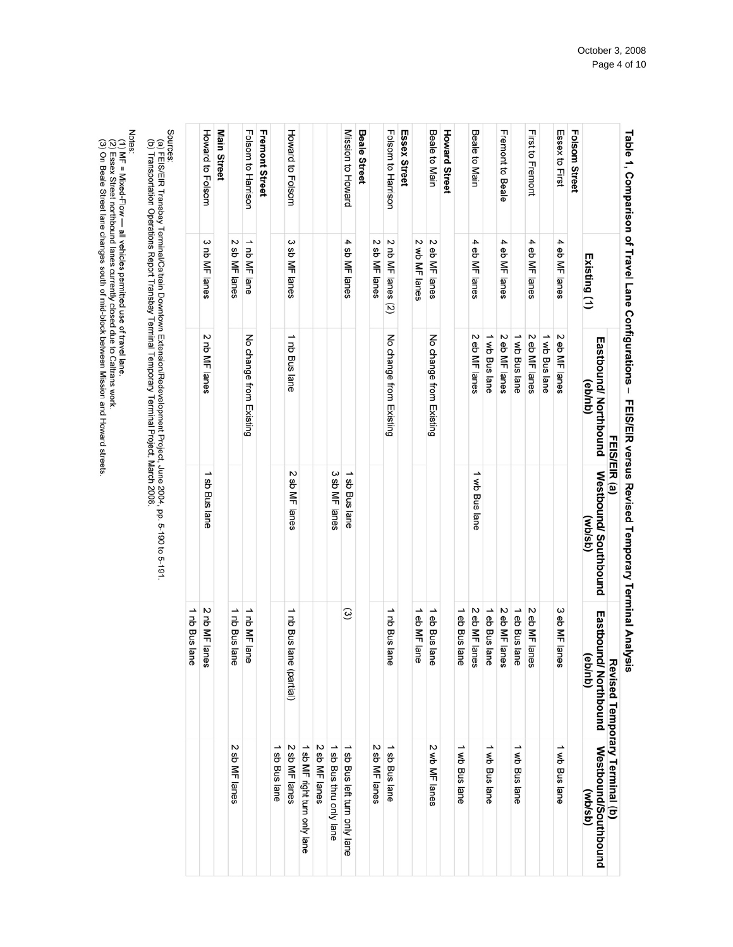| <b>Eastbound/Northbound</b><br>Revised Temporary Terminal (b)<br><b>Westbound/Southbound</b><br>(qsp(A) |
|---------------------------------------------------------------------------------------------------------|
|                                                                                                         |
|                                                                                                         |
| 1 wb Bus lane                                                                                           |
|                                                                                                         |
|                                                                                                         |
| →<br>wb Bus lane                                                                                        |
|                                                                                                         |
| ∸<br>wb Bus lane                                                                                        |
|                                                                                                         |
| 1 wb Bus lane                                                                                           |
|                                                                                                         |
| 2 wb MF lanes                                                                                           |
|                                                                                                         |
|                                                                                                         |
| 1 sb Bus lane                                                                                           |
| 2 sb MF lanes                                                                                           |
|                                                                                                         |
| 1 sb Bus left turn only lane                                                                            |
| ∸<br>sb Bus thru only lane                                                                              |
| 2 sb MF lanes                                                                                           |
| 1 sb MF right turn only lane                                                                            |
| 2 sb MF lanes                                                                                           |
| sb Bus lane                                                                                             |
|                                                                                                         |
|                                                                                                         |
| 2 sb MF lanes                                                                                           |
|                                                                                                         |
|                                                                                                         |
|                                                                                                         |
|                                                                                                         |

(b) Transportation Operations Report Transbay Terminal Temporary Terminal Project, March 2008

Notes:<br>(1) MF = Mixed-Flow — all vehicles permitted use of travel lane.<br>(2) Essex Street northbound lanes currently closed due to Caltrans work.<br>(3) On Beale Street lane changes south of mid-block between Mission and Howar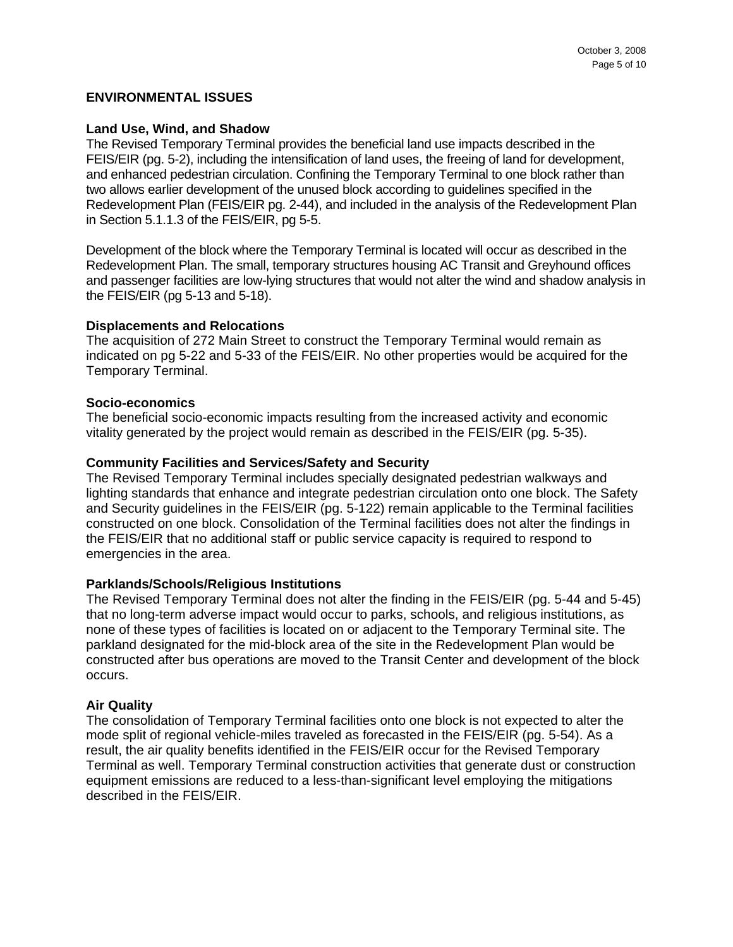#### **ENVIRONMENTAL ISSUES**

#### **Land Use, Wind, and Shadow**

The Revised Temporary Terminal provides the beneficial land use impacts described in the FEIS/EIR (pg. 5-2), including the intensification of land uses, the freeing of land for development, and enhanced pedestrian circulation. Confining the Temporary Terminal to one block rather than two allows earlier development of the unused block according to guidelines specified in the Redevelopment Plan (FEIS/EIR pg. 2-44), and included in the analysis of the Redevelopment Plan in Section 5.1.1.3 of the FEIS/EIR, pg 5-5.

Development of the block where the Temporary Terminal is located will occur as described in the Redevelopment Plan. The small, temporary structures housing AC Transit and Greyhound offices and passenger facilities are low-lying structures that would not alter the wind and shadow analysis in the FEIS/EIR (pg 5-13 and 5-18).

#### **Displacements and Relocations**

The acquisition of 272 Main Street to construct the Temporary Terminal would remain as indicated on pg 5-22 and 5-33 of the FEIS/EIR. No other properties would be acquired for the Temporary Terminal.

#### **Socio-economics**

The beneficial socio-economic impacts resulting from the increased activity and economic vitality generated by the project would remain as described in the FEIS/EIR (pg. 5-35).

#### **Community Facilities and Services/Safety and Security**

The Revised Temporary Terminal includes specially designated pedestrian walkways and lighting standards that enhance and integrate pedestrian circulation onto one block. The Safety and Security guidelines in the FEIS/EIR (pg. 5-122) remain applicable to the Terminal facilities constructed on one block. Consolidation of the Terminal facilities does not alter the findings in the FEIS/EIR that no additional staff or public service capacity is required to respond to emergencies in the area.

## **Parklands/Schools/Religious Institutions**

The Revised Temporary Terminal does not alter the finding in the FEIS/EIR (pg. 5-44 and 5-45) that no long-term adverse impact would occur to parks, schools, and religious institutions, as none of these types of facilities is located on or adjacent to the Temporary Terminal site. The parkland designated for the mid-block area of the site in the Redevelopment Plan would be constructed after bus operations are moved to the Transit Center and development of the block occurs.

## **Air Quality**

The consolidation of Temporary Terminal facilities onto one block is not expected to alter the mode split of regional vehicle-miles traveled as forecasted in the FEIS/EIR (pg. 5-54). As a result, the air quality benefits identified in the FEIS/EIR occur for the Revised Temporary Terminal as well. Temporary Terminal construction activities that generate dust or construction equipment emissions are reduced to a less-than-significant level employing the mitigations described in the FEIS/EIR.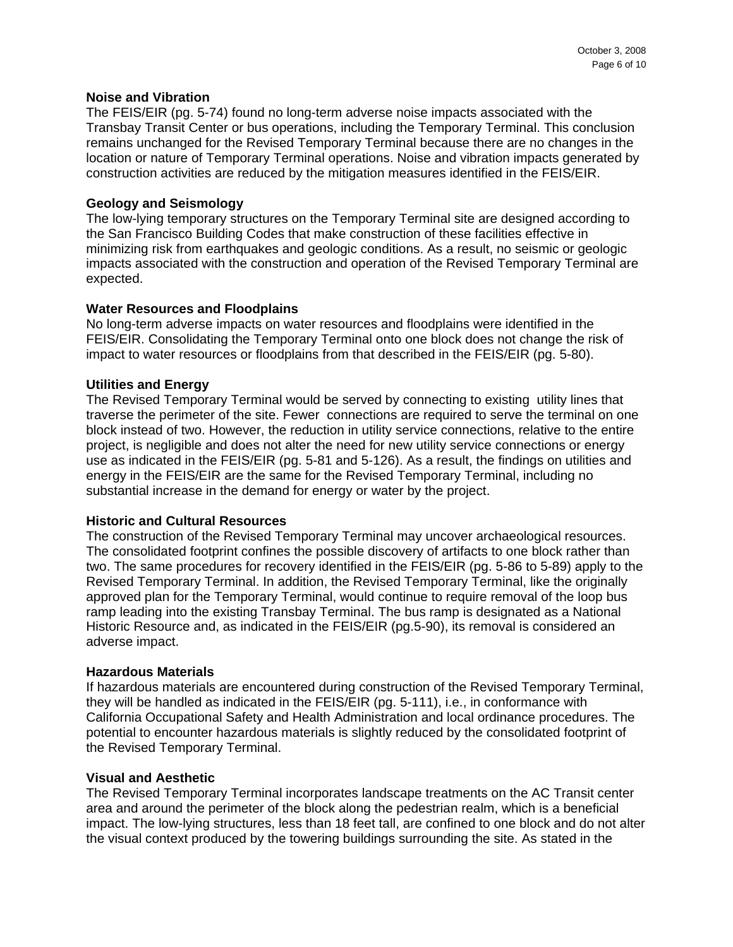## **Noise and Vibration**

The FEIS/EIR (pg. 5-74) found no long-term adverse noise impacts associated with the Transbay Transit Center or bus operations, including the Temporary Terminal. This conclusion remains unchanged for the Revised Temporary Terminal because there are no changes in the location or nature of Temporary Terminal operations. Noise and vibration impacts generated by construction activities are reduced by the mitigation measures identified in the FEIS/EIR.

## **Geology and Seismology**

The low-lying temporary structures on the Temporary Terminal site are designed according to the San Francisco Building Codes that make construction of these facilities effective in minimizing risk from earthquakes and geologic conditions. As a result, no seismic or geologic impacts associated with the construction and operation of the Revised Temporary Terminal are expected.

#### **Water Resources and Floodplains**

No long-term adverse impacts on water resources and floodplains were identified in the FEIS/EIR. Consolidating the Temporary Terminal onto one block does not change the risk of impact to water resources or floodplains from that described in the FEIS/EIR (pg. 5-80).

#### **Utilities and Energy**

The Revised Temporary Terminal would be served by connecting to existing utility lines that traverse the perimeter of the site. Fewer connections are required to serve the terminal on one block instead of two. However, the reduction in utility service connections, relative to the entire project, is negligible and does not alter the need for new utility service connections or energy use as indicated in the FEIS/EIR (pg. 5-81 and 5-126). As a result, the findings on utilities and energy in the FEIS/EIR are the same for the Revised Temporary Terminal, including no substantial increase in the demand for energy or water by the project.

#### **Historic and Cultural Resources**

The construction of the Revised Temporary Terminal may uncover archaeological resources. The consolidated footprint confines the possible discovery of artifacts to one block rather than two. The same procedures for recovery identified in the FEIS/EIR (pg. 5-86 to 5-89) apply to the Revised Temporary Terminal. In addition, the Revised Temporary Terminal, like the originally approved plan for the Temporary Terminal, would continue to require removal of the loop bus ramp leading into the existing Transbay Terminal. The bus ramp is designated as a National Historic Resource and, as indicated in the FEIS/EIR (pg.5-90), its removal is considered an adverse impact.

#### **Hazardous Materials**

If hazardous materials are encountered during construction of the Revised Temporary Terminal, they will be handled as indicated in the FEIS/EIR (pg. 5-111), i.e., in conformance with California Occupational Safety and Health Administration and local ordinance procedures. The potential to encounter hazardous materials is slightly reduced by the consolidated footprint of the Revised Temporary Terminal.

#### **Visual and Aesthetic**

The Revised Temporary Terminal incorporates landscape treatments on the AC Transit center area and around the perimeter of the block along the pedestrian realm, which is a beneficial impact. The low-lying structures, less than 18 feet tall, are confined to one block and do not alter the visual context produced by the towering buildings surrounding the site. As stated in the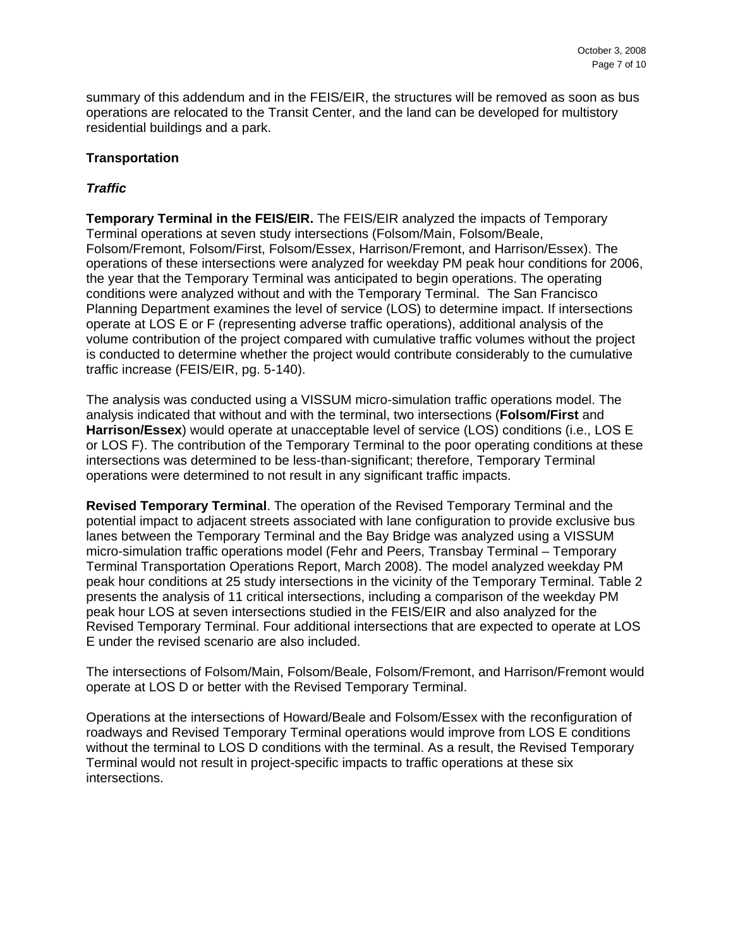summary of this addendum and in the FEIS/EIR, the structures will be removed as soon as bus operations are relocated to the Transit Center, and the land can be developed for multistory residential buildings and a park.

# **Transportation**

# *Traffic*

**Temporary Terminal in the FEIS/EIR.** The FEIS/EIR analyzed the impacts of Temporary Terminal operations at seven study intersections (Folsom/Main, Folsom/Beale, Folsom/Fremont, Folsom/First, Folsom/Essex, Harrison/Fremont, and Harrison/Essex). The operations of these intersections were analyzed for weekday PM peak hour conditions for 2006, the year that the Temporary Terminal was anticipated to begin operations. The operating conditions were analyzed without and with the Temporary Terminal. The San Francisco Planning Department examines the level of service (LOS) to determine impact. If intersections operate at LOS E or F (representing adverse traffic operations), additional analysis of the volume contribution of the project compared with cumulative traffic volumes without the project is conducted to determine whether the project would contribute considerably to the cumulative traffic increase (FEIS/EIR, pg. 5-140).

The analysis was conducted using a VISSUM micro-simulation traffic operations model. The analysis indicated that without and with the terminal, two intersections (**Folsom/First** and **Harrison/Essex**) would operate at unacceptable level of service (LOS) conditions (i.e., LOS E or LOS F). The contribution of the Temporary Terminal to the poor operating conditions at these intersections was determined to be less-than-significant; therefore, Temporary Terminal operations were determined to not result in any significant traffic impacts.

**Revised Temporary Terminal**. The operation of the Revised Temporary Terminal and the potential impact to adjacent streets associated with lane configuration to provide exclusive bus lanes between the Temporary Terminal and the Bay Bridge was analyzed using a VISSUM micro-simulation traffic operations model (Fehr and Peers, Transbay Terminal – Temporary Terminal Transportation Operations Report, March 2008). The model analyzed weekday PM peak hour conditions at 25 study intersections in the vicinity of the Temporary Terminal. Table 2 presents the analysis of 11 critical intersections, including a comparison of the weekday PM peak hour LOS at seven intersections studied in the FEIS/EIR and also analyzed for the Revised Temporary Terminal. Four additional intersections that are expected to operate at LOS E under the revised scenario are also included.

The intersections of Folsom/Main, Folsom/Beale, Folsom/Fremont, and Harrison/Fremont would operate at LOS D or better with the Revised Temporary Terminal.

Operations at the intersections of Howard/Beale and Folsom/Essex with the reconfiguration of roadways and Revised Temporary Terminal operations would improve from LOS E conditions without the terminal to LOS D conditions with the terminal. As a result, the Revised Temporary Terminal would not result in project-specific impacts to traffic operations at these six intersections.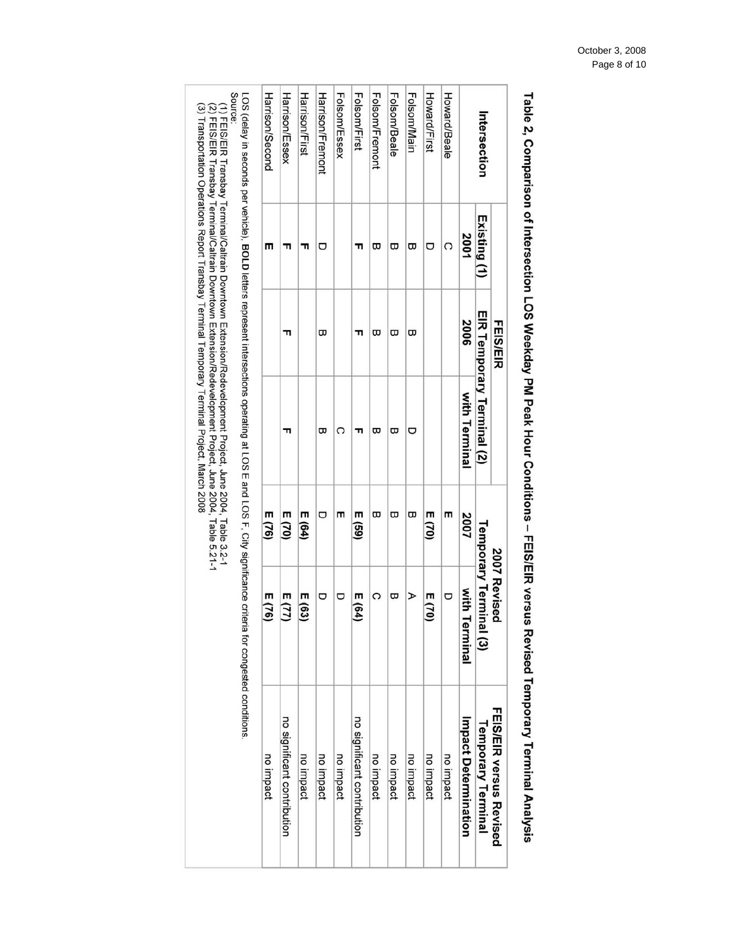| Source<br>(3) Transportation Operations Report Transbay Terminal Temporary Terminal Project, March 2008<br>.27 HEIOH STARD A Preminished A Colomn Handown Datansion/Redevelopment Project, June 2004, Jule 12.1-1<br>(1) FEIS/EIR Transbay Terminal/Caltrain Downtown Extension/Redevelopment Project, June 2004, Table 3.2-1 |                                                                                                                                                             | Harrison/Second | Harrison/Essex              | Harrison/First | Harrison/Fremont | <b>Folsom/Essex</b> | <b>Folsom/First</b>         | <b>Folsom/Fremont</b> | Folsom/Beale | Folsom/Main | Howard/First | Howard/Beale |                      | Intersection                           |                         |  |  |
|-------------------------------------------------------------------------------------------------------------------------------------------------------------------------------------------------------------------------------------------------------------------------------------------------------------------------------|-------------------------------------------------------------------------------------------------------------------------------------------------------------|-----------------|-----------------------------|----------------|------------------|---------------------|-----------------------------|-----------------------|--------------|-------------|--------------|--------------|----------------------|----------------------------------------|-------------------------|--|--|
|                                                                                                                                                                                                                                                                                                                               |                                                                                                                                                             | т               | ᆔ                           | ᆩ              | ヮ                |                     | ╖                           | ᡂ                     | ᡂ            | ᡂ           | ヮ            | C            | 2001                 | Existing (1)                           |                         |  |  |
|                                                                                                                                                                                                                                                                                                                               | LOS (delay in seconds per vehicle), BOLD letters represent intersections operating at LOS E and LOS F, City significance criteria for congested conditions. |                 | ᆩ                           |                | ω                |                     | ᆩ                           | ω                     | ω            | ᡂ           |              |              | 2006                 |                                        | <b>FEIS/EIR</b>         |  |  |
|                                                                                                                                                                                                                                                                                                                               |                                                                                                                                                             |                 | ᆩ                           |                | ω                | റ                   | ᆩ                           | ω                     | ᢍ            | O           |              |              | with Terminal        | EIR Temporary Terminal (2)             |                         |  |  |
|                                                                                                                                                                                                                                                                                                                               |                                                                                                                                                             | E(76)           | E(70)                       | E(64)          | Ō                | m                   | E(59)                       | ω                     | ω            | ω           | E(70)        | m            | 2007                 |                                        |                         |  |  |
|                                                                                                                                                                                                                                                                                                                               |                                                                                                                                                             | (76)            | E (77)                      | E (63          | ヮ                | ヮ                   | E(64)                       | C                     | ᡂ            | ⋗           | E(70)        | O            | with 1<br>Terminal   | Temporary Terminal (3)<br>2007 Revised |                         |  |  |
|                                                                                                                                                                                                                                                                                                                               |                                                                                                                                                             | no impact       | no significant contribution | no impact      | no impact        | no impact           | no significant contribution | no impact             | no impact    | no impact   | no impact    | no impact    | Impact Determination | <b>Iemporary Terminal</b>              | FEIS/EIR versus Revised |  |  |

Table 2, Comparison of Intersection LOS Weekday PM Peak Hour Conditions - FEIS/EIR versus Revised Temporary Terminal Analysis

# October 3, 2008 Page 8 of 10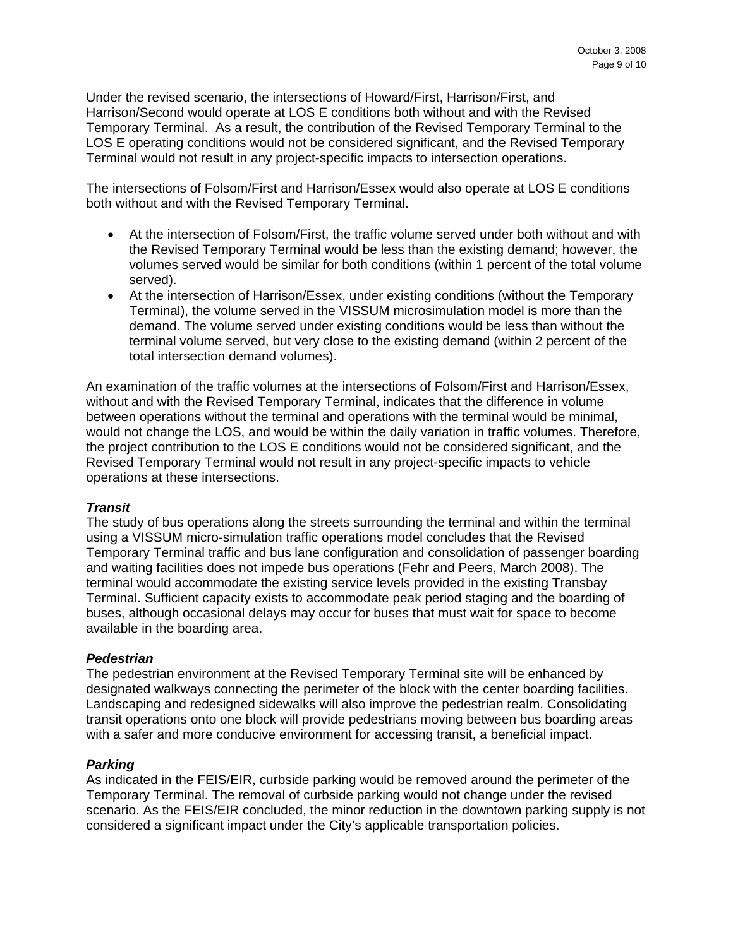Under the revised scenario, the intersections of Howard/First, Harrison/First, and Harrison/Second would operate at LOS E conditions both without and with the Revised Temporary Terminal. As a result, the contribution of the Revised Temporary Terminal to the LOS E operating conditions would not be considered significant, and the Revised Temporary Terminal would not result in any project-specific impacts to intersection operations.

The intersections of Folsom/First and Harrison/Essex would also operate at LOS E conditions both without and with the Revised Temporary Terminal.

- At the intersection of Folsom/First, the traffic volume served under both without and with the Revised Temporary Terminal would be less than the existing demand; however, the volumes served would be similar for both conditions (within 1 percent of the total volume served).
- At the intersection of Harrison/Essex, under existing conditions (without the Temporary Terminal), the volume served in the VISSUM microsimulation model is more than the demand. The volume served under existing conditions would be less than without the terminal volume served, but very close to the existing demand (within 2 percent of the total intersection demand volumes).

An examination of the traffic volumes at the intersections of Folsom/First and Harrison/Essex, without and with the Revised Temporary Terminal, indicates that the difference in volume between operations without the terminal and operations with the terminal would be minimal, would not change the LOS, and would be within the daily variation in traffic volumes. Therefore, the project contribution to the LOS E conditions would not be considered significant, and the Revised Temporary Terminal would not result in any project-specific impacts to vehicle operations at these intersections.

## *Transit*

The study of bus operations along the streets surrounding the terminal and within the terminal using a VISSUM micro-simulation traffic operations model concludes that the Revised Temporary Terminal traffic and bus lane configuration and consolidation of passenger boarding and waiting facilities does not impede bus operations (Fehr and Peers, March 2008). The terminal would accommodate the existing service levels provided in the existing Transbay Terminal. Sufficient capacity exists to accommodate peak period staging and the boarding of buses, although occasional delays may occur for buses that must wait for space to become available in the boarding area.

## *Pedestrian*

The pedestrian environment at the Revised Temporary Terminal site will be enhanced by designated walkways connecting the perimeter of the block with the center boarding facilities. Landscaping and redesigned sidewalks will also improve the pedestrian realm. Consolidating transit operations onto one block will provide pedestrians moving between bus boarding areas with a safer and more conducive environment for accessing transit, a beneficial impact.

## *Parking*

As indicated in the FEIS/EIR, curbside parking would be removed around the perimeter of the Temporary Terminal. The removal of curbside parking would not change under the revised scenario. As the FEIS/EIR concluded, the minor reduction in the downtown parking supply is not considered a significant impact under the City's applicable transportation policies.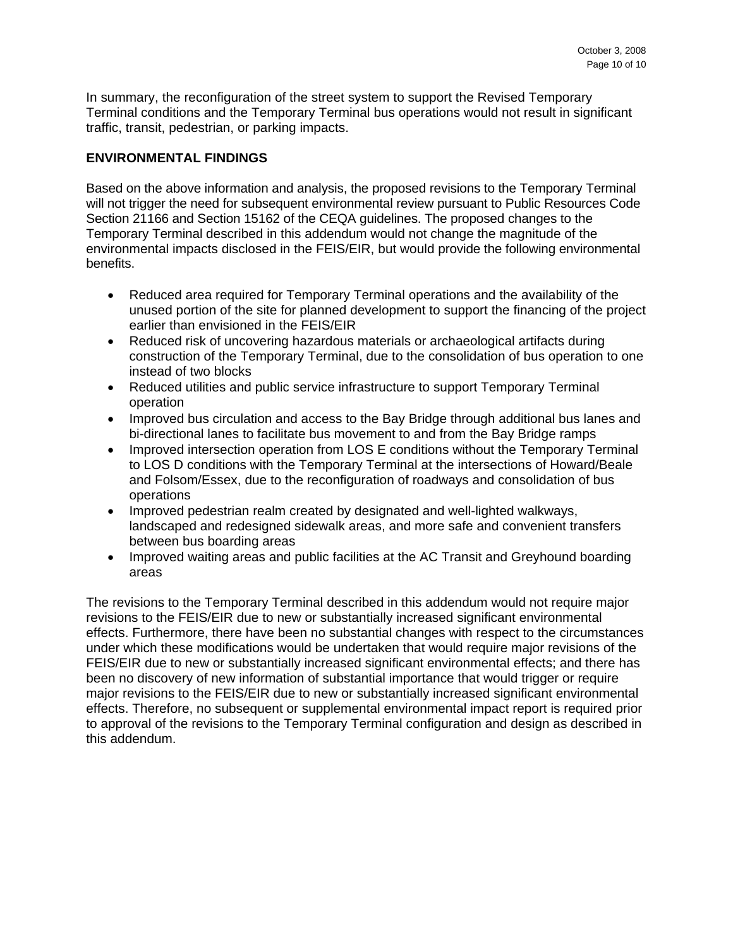In summary, the reconfiguration of the street system to support the Revised Temporary Terminal conditions and the Temporary Terminal bus operations would not result in significant traffic, transit, pedestrian, or parking impacts.

# **ENVIRONMENTAL FINDINGS**

Based on the above information and analysis, the proposed revisions to the Temporary Terminal will not trigger the need for subsequent environmental review pursuant to Public Resources Code Section 21166 and Section 15162 of the CEQA guidelines. The proposed changes to the Temporary Terminal described in this addendum would not change the magnitude of the environmental impacts disclosed in the FEIS/EIR, but would provide the following environmental benefits.

- Reduced area required for Temporary Terminal operations and the availability of the unused portion of the site for planned development to support the financing of the project earlier than envisioned in the FEIS/EIR
- Reduced risk of uncovering hazardous materials or archaeological artifacts during construction of the Temporary Terminal, due to the consolidation of bus operation to one instead of two blocks
- Reduced utilities and public service infrastructure to support Temporary Terminal operation
- Improved bus circulation and access to the Bay Bridge through additional bus lanes and bi-directional lanes to facilitate bus movement to and from the Bay Bridge ramps
- Improved intersection operation from LOS E conditions without the Temporary Terminal to LOS D conditions with the Temporary Terminal at the intersections of Howard/Beale and Folsom/Essex, due to the reconfiguration of roadways and consolidation of bus operations
- Improved pedestrian realm created by designated and well-lighted walkways, landscaped and redesigned sidewalk areas, and more safe and convenient transfers between bus boarding areas
- Improved waiting areas and public facilities at the AC Transit and Greyhound boarding areas

The revisions to the Temporary Terminal described in this addendum would not require major revisions to the FEIS/EIR due to new or substantially increased significant environmental effects. Furthermore, there have been no substantial changes with respect to the circumstances under which these modifications would be undertaken that would require major revisions of the FEIS/EIR due to new or substantially increased significant environmental effects; and there has been no discovery of new information of substantial importance that would trigger or require major revisions to the FEIS/EIR due to new or substantially increased significant environmental effects. Therefore, no subsequent or supplemental environmental impact report is required prior to approval of the revisions to the Temporary Terminal configuration and design as described in this addendum.